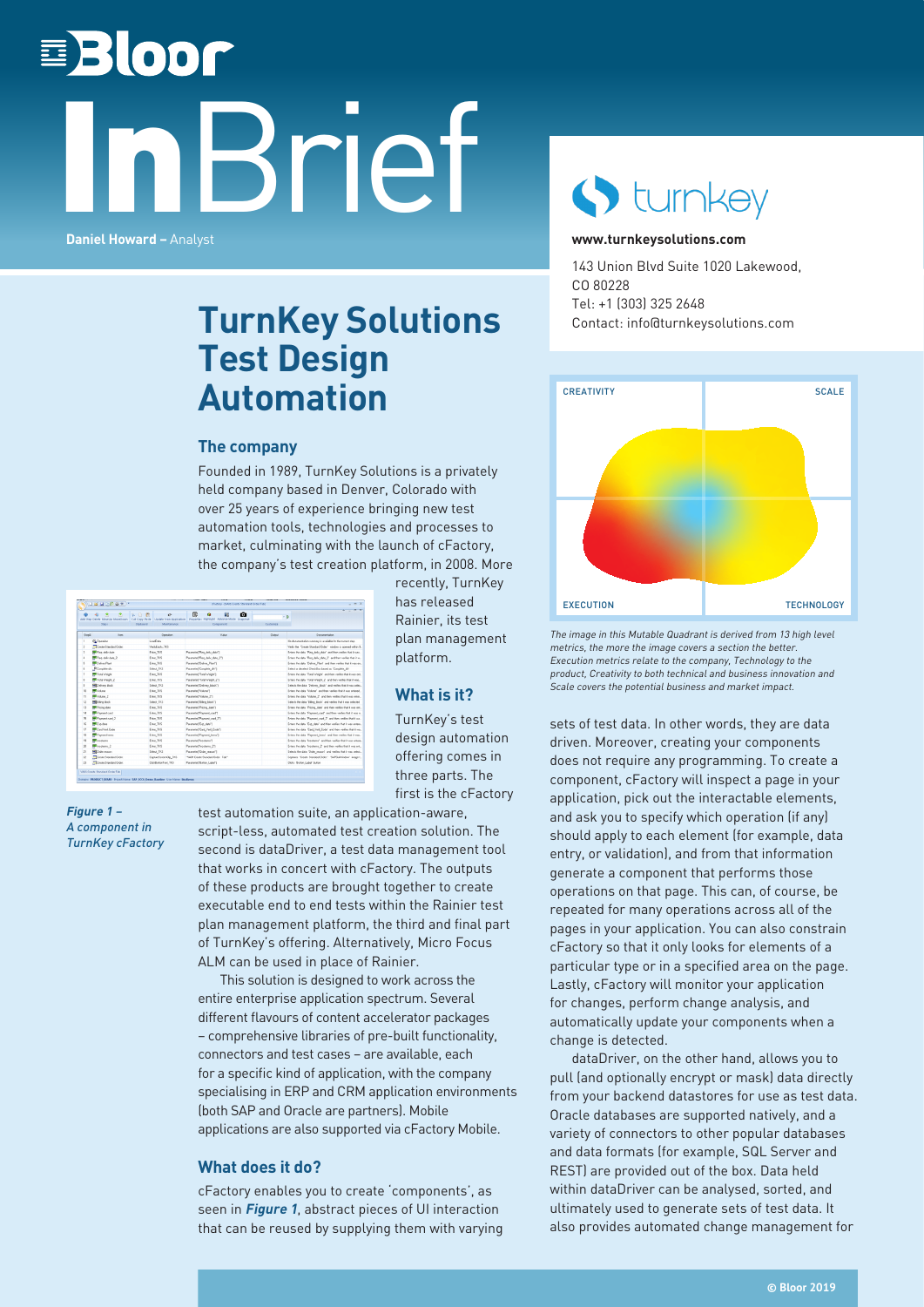# 国**Bloor** InBrief **Daniel Howard –** Analyst



#### **[www.turnkeysolutions.com](http://turnkeysolutions.com/)**

143 Union Blvd Suite 1020 Lakewood, CO 80228 Tel: +1 (303) 325 2648 Contact: info@turnkeysolutions.com



The image in this Mutable Quadrant is derived from 13 high level metrics, the more the image covers a section the better. Execution metrics relate to the company, Technology to the product, Creativity to both technical and business innovation and Scale covers the potential business and market impact.

sets of test data. In other words, they are data driven. Moreover, creating your components does not require any programming. To create a component, cFactory will inspect a page in your application, pick out the interactable elements, and ask you to specify which operation (if any) should apply to each element (for example, data entry, or validation), and from that information generate a component that performs those operations on that page. This can, of course, be repeated for many operations across all of the pages in your application. You can also constrain cFactory so that it only looks for elements of a particular type or in a specified area on the page. Lastly, cFactory will monitor your application for changes, perform change analysis, and automatically update your components when a change is detected.

dataDriver, on the other hand, allows you to pull (and optionally encrypt or mask) data directly from your backend datastores for use as test data. Oracle databases are supported natively, and a variety of connectors to other popular databases and data formats (for example, SQL Server and REST) are provided out of the box. Data held within dataDriver can be analysed, sorted, and ultimately used to generate sets of test data. It also provides automated change management for

### **TurnKey Solutions Test Design Automation**

#### **The company**

Founded in 1989, TurnKey Solutions is a privately held company based in Denver, Colorado with over 25 years of experience bringing new test automation tools, technologies and processes to market, culminating with the launch of cFactory, the company's test creation platform, in 2008. More

> recently, TurnKey has released Rainier, its test plan management

platform.

**What is it?** TurnKey's test design automation offering comes in three parts. The first is the cFactory

| $ -$                                                                |           | d'actory - NAIL1 Create Standard Order Tabli                                                                                          |                      | <b>JBHDROW</b>                     |                      |  |  |  |  |  |
|---------------------------------------------------------------------|-----------|---------------------------------------------------------------------------------------------------------------------------------------|----------------------|------------------------------------|----------------------|--|--|--|--|--|
| $A = B X$                                                           | $\cdot$ b | œ<br>羇<br>o<br>٠<br>Add Step Detete MoveDo MoveDown Cut Copy Parte Update From Application Properties Highlight Advance Mode Snapshot | Ø.<br>m              | k                                  |                      |  |  |  |  |  |
|                                                                     | Customize | Component                                                                                                                             | Mainfanance          | <b>Steps</b><br>Clichand           |                      |  |  |  |  |  |
| Donovertalen                                                        | Dung      | Value                                                                                                                                 | <b>Gentalize</b>     | <b>Date</b>                        | <b>Stend</b>         |  |  |  |  |  |
| No documentation summer is available for the current step.          |           |                                                                                                                                       | Loadium              | Ca Operation                       |                      |  |  |  |  |  |
| Verily the "Couple Standard Doler" window is connect subjects.      |           |                                                                                                                                       | VehEeds, TFS         | Create Standard Order              | э                    |  |  |  |  |  |
| Enters the data. Then deliv date" and then vestiles that it was.    |           | Fasnete(Ting_delv_date")                                                                                                              | Entre TKS            | <b>RE</b> Reg debudas              | n.                   |  |  |  |  |  |
| Enters the data "Reg. deliv, data, 2" and then verifies that it is, |           | Parameted Reg. deliv. date, 21                                                                                                        | Enter, TKS           | <b>MC</b> Ren debudde 2            | ٠                    |  |  |  |  |  |
| Entes the data 'Deliver Plant' and then verifies that it was en.    |           | Parameted Deliver Plant's                                                                                                             | Enter TKS            | <b>BC</b> Deliver Plant            | ×                    |  |  |  |  |  |
| Salest or developt CheckRox Layed as "Consider vB/                  |           | <b>Passwird Consider duff</b>                                                                                                         | Salest DCS           | P Consiste du                      |                      |  |  |  |  |  |
| Enters the data "Total 'whight" and from vention that it was ent.   |           | Passwird Total Violet 1                                                                                                               | Enter TICS           | <b>METons'which</b>                | ×                    |  |  |  |  |  |
| Eroes the data "Emal Weight 2" and then vestiles that it was        |           | Parameted Total Meidel 2'1                                                                                                            | Enter TKS            | <b>B</b> TotalWegit 2              |                      |  |  |  |  |  |
| Selects the data 'Delivers block' and verifies that it was selec    |           | Parameted Delivery Nock"]                                                                                                             | Select TKS           | Red value O                        | $\ddot{\phantom{a}}$ |  |  |  |  |  |
| Enters the claim "Volume" and then vestics that it was entered.     |           | Passwire!"Values")                                                                                                                    | Enter TICS           | <b>MI</b> Volume                   | 10                   |  |  |  |  |  |
| Enters the data Volume .2" and then vestiles that it was enter.     |           | Passwird Volume 2'1                                                                                                                   | Enter TICS           | <b>W</b> Volume <sub>2</sub>       | 11                   |  |  |  |  |  |
| Selects the data Tilling block" and verifies that it was selected   |           | Pasment Siling Nock1                                                                                                                  | Salact TKS           | <b>Rigiding block</b>              | 12                   |  |  |  |  |  |
| Enters the data "Pricing, date" and then verifies that it mas ent.  |           | Passwort Piking date'll                                                                                                               | Enter, TKS           | <b>BF</b> Pricing date             | 13                   |  |  |  |  |  |
| Entes the data. Fiscoset, card and fren verifies that it was a.     |           | <b>Panneled Pasnest, card'l</b>                                                                                                       | Enter, TKS           | <b>EX</b> Payment card             | 14                   |  |  |  |  |  |
| Friest the data. Fourseet road, 2, and then verifies that it sus.   |           | <b>Passwird Paurure card 27</b>                                                                                                       | Enter, TKS           | <b>R</b> Pament card.2             | 16                   |  |  |  |  |  |
| Entes the data 'Exp data' and then verifies that it was entered     |           | Pasnew/Eo dev't                                                                                                                       | Enter TKS            | <b>KE</b> Exp. date                | 16                   |  |  |  |  |  |
| Enters the data 'Card, Vest, Code' and then vesties that it ma.     |           | <b>Password Card Veil Code's</b>                                                                                                      | Enter, TKS           | <b>BF</b> CardVeril Code           | $12^{1}$             |  |  |  |  |  |
| Entos the data "Payment terms" and then venties that it was.        |           | Fascolof Fascot tem(1)                                                                                                                | Enter, TKS           | <b>PR</b> Payment Issued           | m                    |  |  |  |  |  |
| Enters the data "Incidents" and from verifies that it mas entere.   |           | <b>Parameted Tecutams'7</b>                                                                                                           | Enter TICS           | <b>SIX</b> Incohemic               | 19                   |  |  |  |  |  |
| Enters the data Trochems, 2 and then verifies that it was ent       |           | Pasmeled Trockerns, 21                                                                                                                | Enter TKS            | <b>WE</b> Incolamn 2               | $\infty$             |  |  |  |  |  |
| Selects the data. Under reason', and vestiles that it was select    |           | <b>Parameted Styler reason'll</b>                                                                                                     | Select TKS           | <b>MI</b> Gider reason             | 21                   |  |  |  |  |  |
| Caphaes 'Create Standard Dider.' 'SAPDuNndow' image t.              |           | "Vall! Deale Standard Date" Tall?                                                                                                     | Caphardioner/Jo. TKS | Create Standard Order              | $\infty$             |  |  |  |  |  |
| Clicks Trusten Label' button                                        |           | Passwiel Suton Label's                                                                                                                | CloidynanText TKS    | <sup>1</sup> Create Standard Order | 22                   |  |  |  |  |  |

**Figure 1** – A component in TurnKey cFactory test automation suite, an application-aware, script-less, automated test creation solution. The second is dataDriver, a test data management tool that works in concert with cFactory. The outputs of these products are brought together to create executable end to end tests within the Rainier test plan management platform, the third and final part of TurnKey's offering. Alternatively, Micro Focus ALM can be used in place of Rainier.

This solution is designed to work across the entire enterprise application spectrum. Several different flavours of content accelerator packages – comprehensive libraries of pre-built functionality, connectors and test cases – are available, each for a specific kind of application, with the company specialising in ERP and CRM application environments (both SAP and Oracle are partners). Mobile applications are also supported via cFactory Mobile.

#### **What does it do?**

cFactory enables you to create 'components', as seen in **Figure 1**, abstract pieces of UI interaction that can be reused by supplying them with varying